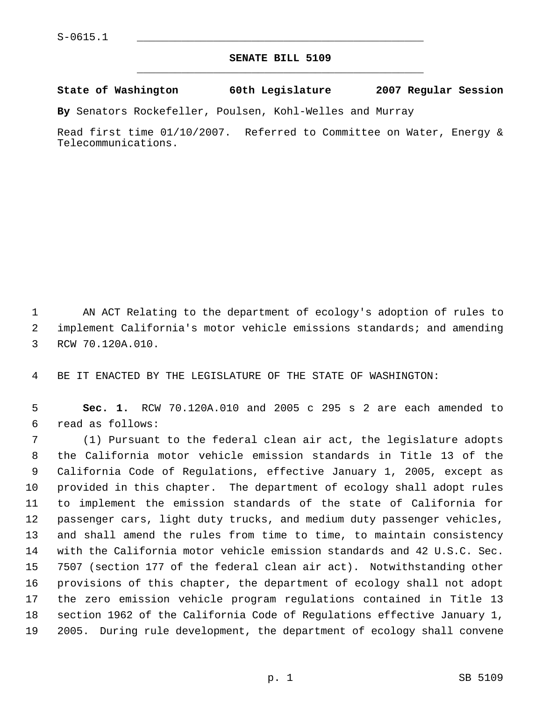## **SENATE BILL 5109** \_\_\_\_\_\_\_\_\_\_\_\_\_\_\_\_\_\_\_\_\_\_\_\_\_\_\_\_\_\_\_\_\_\_\_\_\_\_\_\_\_\_\_\_\_

**State of Washington 60th Legislature 2007 Regular Session**

**By** Senators Rockefeller, Poulsen, Kohl-Welles and Murray

Read first time 01/10/2007. Referred to Committee on Water, Energy & Telecommunications.

 AN ACT Relating to the department of ecology's adoption of rules to implement California's motor vehicle emissions standards; and amending RCW 70.120A.010.

BE IT ENACTED BY THE LEGISLATURE OF THE STATE OF WASHINGTON:

 **Sec. 1.** RCW 70.120A.010 and 2005 c 295 s 2 are each amended to read as follows:

 (1) Pursuant to the federal clean air act, the legislature adopts the California motor vehicle emission standards in Title 13 of the California Code of Regulations, effective January 1, 2005, except as provided in this chapter. The department of ecology shall adopt rules to implement the emission standards of the state of California for passenger cars, light duty trucks, and medium duty passenger vehicles, and shall amend the rules from time to time, to maintain consistency with the California motor vehicle emission standards and 42 U.S.C. Sec. 7507 (section 177 of the federal clean air act). Notwithstanding other provisions of this chapter, the department of ecology shall not adopt the zero emission vehicle program regulations contained in Title 13 section 1962 of the California Code of Regulations effective January 1, 2005. During rule development, the department of ecology shall convene